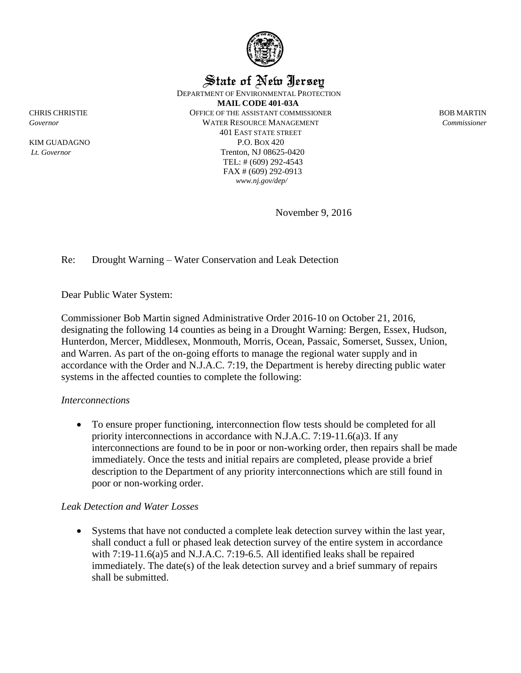

State of New Jersey

DEPARTMENT OF ENVIRONMENTAL PROTECTION

**MAIL CODE 401-03A** CHRIS CHRISTIE OFFICE OF THE ASSISTANT COMMISSIONER BOB MARTIN *Governor* WATER RESOURCE MANAGEMENT *Commissioner* 401 EAST STATE STREET KIM GUADAGNO P.O. BOX 420 *Lt. Governor* Trenton, NJ 08625-0420 TEL: # (609) 292-4543 FAX # (609) 292-0913 *www.nj.gov/dep/*

November 9, 2016

Re: Drought Warning – Water Conservation and Leak Detection

Dear Public Water System:

Commissioner Bob Martin signed Administrative Order 2016-10 on October 21, 2016, designating the following 14 counties as being in a Drought Warning: Bergen, Essex, Hudson, Hunterdon, Mercer, Middlesex, Monmouth, Morris, Ocean, Passaic, Somerset, Sussex, Union, and Warren. As part of the on-going efforts to manage the regional water supply and in accordance with the Order and N.J.A.C. 7:19, the Department is hereby directing public water systems in the affected counties to complete the following:

## *Interconnections*

 To ensure proper functioning, interconnection flow tests should be completed for all priority interconnections in accordance with N.J.A.C. 7:19-11.6(a)3. If any interconnections are found to be in poor or non-working order, then repairs shall be made immediately. Once the tests and initial repairs are completed, please provide a brief description to the Department of any priority interconnections which are still found in poor or non-working order.

## *Leak Detection and Water Losses*

 Systems that have not conducted a complete leak detection survey within the last year, shall conduct a full or phased leak detection survey of the entire system in accordance with 7:19-11.6(a)5 and N.J.A.C. 7:19-6.5. All identified leaks shall be repaired immediately. The date(s) of the leak detection survey and a brief summary of repairs shall be submitted.